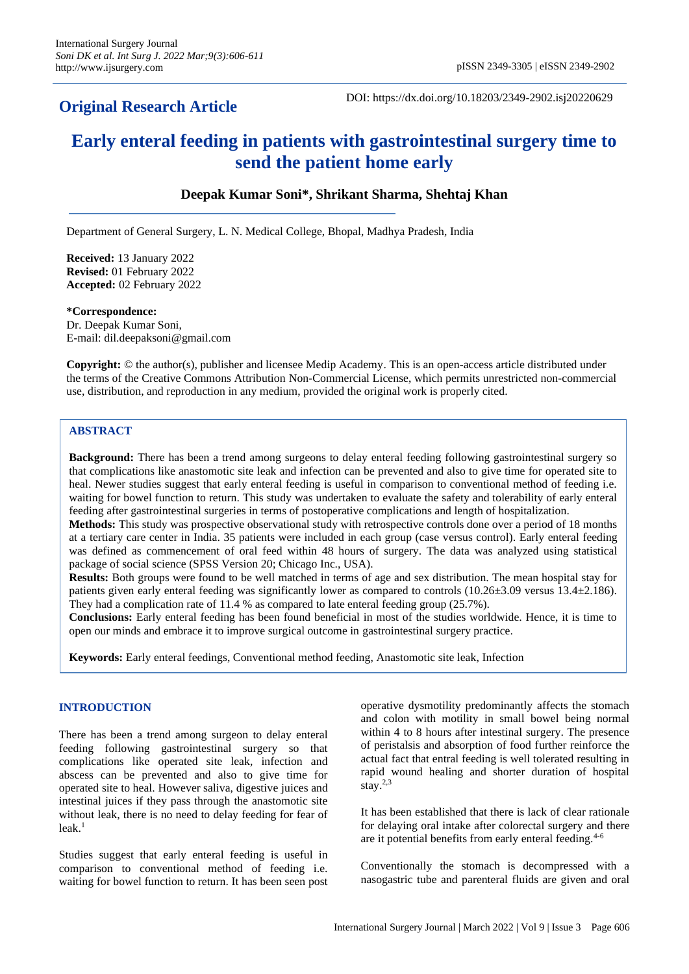## **Original Research Article**

DOI: https://dx.doi.org/10.18203/2349-2902.isj20220629

# **Early enteral feeding in patients with gastrointestinal surgery time to send the patient home early**

## **Deepak Kumar Soni\*, Shrikant Sharma, Shehtaj Khan**

Department of General Surgery, L. N. Medical College, Bhopal, Madhya Pradesh, India

**Received:** 13 January 2022 **Revised:** 01 February 2022 **Accepted:** 02 February 2022

#### **\*Correspondence:**

Dr. Deepak Kumar Soni, E-mail: dil.deepaksoni@gmail.com

**Copyright:** © the author(s), publisher and licensee Medip Academy. This is an open-access article distributed under the terms of the Creative Commons Attribution Non-Commercial License, which permits unrestricted non-commercial use, distribution, and reproduction in any medium, provided the original work is properly cited.

#### **ABSTRACT**

**Background:** There has been a trend among surgeons to delay enteral feeding following gastrointestinal surgery so that complications like anastomotic site leak and infection can be prevented and also to give time for operated site to heal. Newer studies suggest that early enteral feeding is useful in comparison to conventional method of feeding i.e. waiting for bowel function to return. This study was undertaken to evaluate the safety and tolerability of early enteral feeding after gastrointestinal surgeries in terms of postoperative complications and length of hospitalization.

**Methods:** This study was prospective observational study with retrospective controls done over a period of 18 months at a tertiary care center in India. 35 patients were included in each group (case versus control). Early enteral feeding was defined as commencement of oral feed within 48 hours of surgery. The data was analyzed using statistical package of social science (SPSS Version 20; Chicago Inc., USA).

**Results:** Both groups were found to be well matched in terms of age and sex distribution. The mean hospital stay for patients given early enteral feeding was significantly lower as compared to controls (10.26±3.09 versus 13.4±2.186). They had a complication rate of 11.4 % as compared to late enteral feeding group (25.7%).

**Conclusions:** Early enteral feeding has been found beneficial in most of the studies worldwide. Hence, it is time to open our minds and embrace it to improve surgical outcome in gastrointestinal surgery practice.

**Keywords:** Early enteral feedings, Conventional method feeding, Anastomotic site leak, Infection

#### **INTRODUCTION**

There has been a trend among surgeon to delay enteral feeding following gastrointestinal surgery so that complications like operated site leak, infection and abscess can be prevented and also to give time for operated site to heal. However saliva, digestive juices and intestinal juices if they pass through the anastomotic site without leak, there is no need to delay feeding for fear of leak. 1

Studies suggest that early enteral feeding is useful in comparison to conventional method of feeding i.e. waiting for bowel function to return. It has been seen post operative dysmotility predominantly affects the stomach and colon with motility in small bowel being normal within 4 to 8 hours after intestinal surgery. The presence of peristalsis and absorption of food further reinforce the actual fact that entral feeding is well tolerated resulting in rapid wound healing and shorter duration of hospital stay. 2,3

It has been established that there is lack of clear rationale for delaying oral intake after colorectal surgery and there are it potential benefits from early enteral feeding.<sup>4-6</sup>

Conventionally the stomach is decompressed with a nasogastric tube and parenteral fluids are given and oral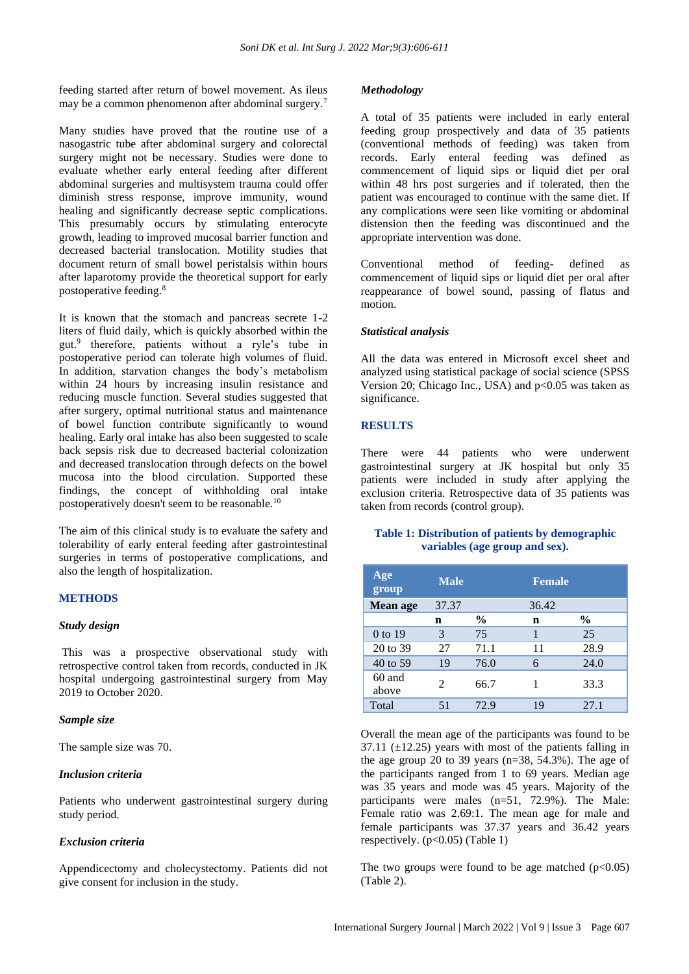feeding started after return of bowel movement. As ileus may be a common phenomenon after abdominal surgery.<sup>7</sup>

Many studies have proved that the routine use of a nasogastric tube after abdominal surgery and colorectal surgery might not be necessary. Studies were done to evaluate whether early enteral feeding after different abdominal surgeries and multisystem trauma could offer diminish stress response, improve immunity, wound healing and significantly decrease septic complications. This presumably occurs by stimulating enterocyte growth, leading to improved mucosal barrier function and decreased bacterial translocation. Motility studies that document return of small bowel peristalsis within hours after laparotomy provide the theoretical support for early postoperative feeding.<sup>8</sup>

It is known that the stomach and pancreas secrete 1-2 liters of fluid daily, which is quickly absorbed within the gut. 9 therefore, patients without a ryle's tube in postoperative period can tolerate high volumes of fluid. In addition, starvation changes the body's metabolism within 24 hours by increasing insulin resistance and reducing muscle function. Several studies suggested that after surgery, optimal nutritional status and maintenance of bowel function contribute significantly to wound healing. Early oral intake has also been suggested to scale back sepsis risk due to decreased bacterial colonization and decreased translocation through defects on the bowel mucosa into the blood circulation. Supported these findings, the concept of withholding oral intake postoperatively doesn't seem to be reasonable.<sup>10</sup>

The aim of this clinical study is to evaluate the safety and tolerability of early enteral feeding after gastrointestinal surgeries in terms of postoperative complications, and also the length of hospitalization.

#### **METHODS**

#### *Study design*

This was a prospective observational study with retrospective control taken from records, conducted in JK hospital undergoing gastrointestinal surgery from May 2019 to October 2020.

#### *Sample size*

The sample size was 70.

#### *Inclusion criteria*

Patients who underwent gastrointestinal surgery during study period.

## *Exclusion criteria*

Appendicectomy and cholecystectomy. Patients did not give consent for inclusion in the study.

#### *Methodology*

A total of 35 patients were included in early enteral feeding group prospectively and data of 35 patients (conventional methods of feeding) was taken from records. Early enteral feeding was defined as commencement of liquid sips or liquid diet per oral within 48 hrs post surgeries and if tolerated, then the patient was encouraged to continue with the same diet. If any complications were seen like vomiting or abdominal distension then the feeding was discontinued and the appropriate intervention was done.

Conventional method of feeding- defined as commencement of liquid sips or liquid diet per oral after reappearance of bowel sound, passing of flatus and motion.

#### *Statistical analysis*

All the data was entered in Microsoft excel sheet and analyzed using statistical package of social science (SPSS Version 20; Chicago Inc., USA) and p<0.05 was taken as significance.

#### **RESULTS**

There were 44 patients who were underwent gastrointestinal surgery at JK hospital but only 35 patients were included in study after applying the exclusion criteria. Retrospective data of 35 patients was taken from records (control group).

#### **Table 1: Distribution of patients by demographic variables (age group and sex).**

| Age<br>group      | <b>Male</b>           |      | <b>Female</b> |               |
|-------------------|-----------------------|------|---------------|---------------|
| Mean age          | 37.37                 |      | 36.42         |               |
|                   | n                     | $\%$ | n             | $\frac{6}{9}$ |
| $0$ to 19         | 3                     | 75   |               | 25            |
| 20 to 39          | 27                    | 71.1 | 11            | 28.9          |
| 40 to 59          | 19                    | 76.0 | 6             | 24.0          |
| $60$ and<br>above | $\mathcal{D}_{\cdot}$ | 66.7 |               | 33.3          |
| Total             | 51                    | 72.9 | 19            | 27.1          |

Overall the mean age of the participants was found to be  $37.11$  ( $\pm$ 12.25) years with most of the patients falling in the age group 20 to 39 years ( $n=38$ ,  $54.3\%$ ). The age of the participants ranged from 1 to 69 years. Median age was 35 years and mode was 45 years. Majority of the participants were males (n=51, 72.9%). The Male: Female ratio was 2.69:1. The mean age for male and female participants was 37.37 years and 36.42 years respectively.  $(p<0.05)$  (Table 1)

The two groups were found to be age matched  $(p<0.05)$ (Table 2).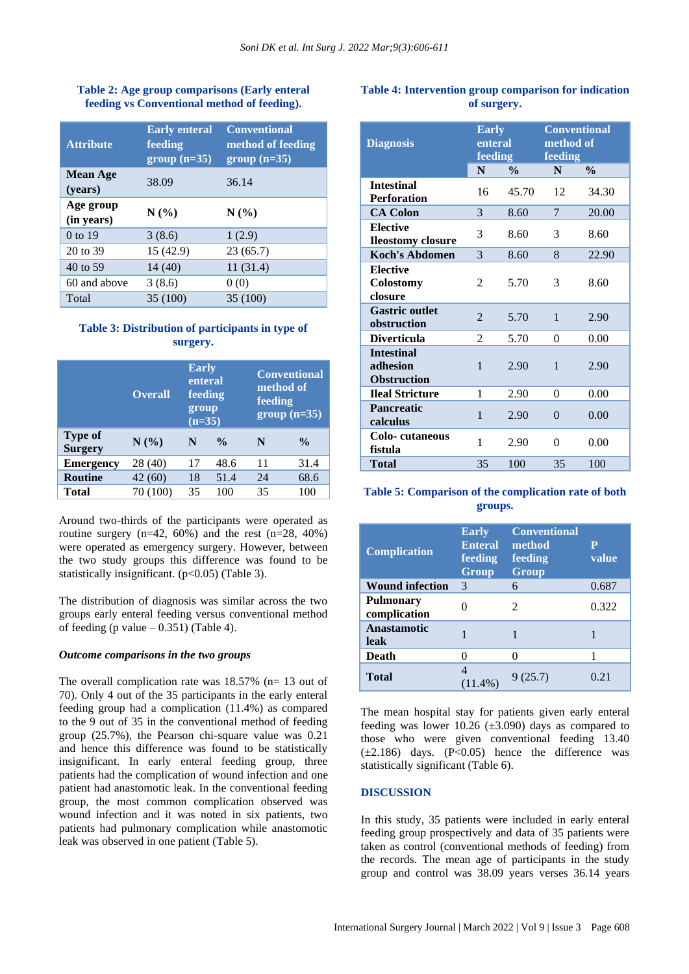## **Table 2: Age group comparisons (Early enteral feeding vs Conventional method of feeding).**

| <b>Attribute</b>           | <b>Early enteral</b><br>feeding<br>$group(n=35)$ | <b>Conventional</b><br>method of feeding<br>$group (n=35)$ |
|----------------------------|--------------------------------------------------|------------------------------------------------------------|
| <b>Mean Age</b><br>(years) | 38.09                                            | 36.14                                                      |
| Age group<br>(in years)    | N(%)                                             | N(%                                                        |
| 0 to 19                    | 3(8.6)                                           | 1(2.9)                                                     |
| 20 to 39                   | 15 (42.9)                                        | 23(65.7)                                                   |
| 40 to 59                   | 14(40)                                           | 11(31.4)                                                   |
| 60 and above               | 3(8.6)                                           | 0(0)                                                       |
| Total                      | 35 (100)                                         | 35 (100)                                                   |

## **Table 3: Distribution of participants in type of surgery.**

|                                  | <b>Overall</b> | <b>Early</b><br>enteral<br>feeding<br>group<br>$(n=35)$ |               | <b>Conventional</b><br>method of<br>feeding<br>$group(n=35)$ |               |
|----------------------------------|----------------|---------------------------------------------------------|---------------|--------------------------------------------------------------|---------------|
| <b>Type of</b><br><b>Surgery</b> | N(%)           | N                                                       | $\frac{0}{0}$ | N                                                            | $\frac{0}{0}$ |
| <b>Emergency</b>                 | 28 (40)        | 17                                                      | 48.6          | 11                                                           | 31.4          |
| <b>Routine</b>                   | 42(60)         | 18                                                      | 51.4          | 24                                                           | 68.6          |
| Total                            | 70 (100)       | 35                                                      | 100           | 35                                                           | 100           |

Around two-thirds of the participants were operated as routine surgery  $(n=42, 60%)$  and the rest  $(n=28, 40%)$ were operated as emergency surgery. However, between the two study groups this difference was found to be statistically insignificant.  $(p<0.05)$  (Table 3).

The distribution of diagnosis was similar across the two groups early enteral feeding versus conventional method of feeding (p value  $-0.351$ ) (Table 4).

## *Outcome comparisons in the two groups*

The overall complication rate was 18.57% (n= 13 out of 70). Only 4 out of the 35 participants in the early enteral feeding group had a complication (11.4%) as compared to the 9 out of 35 in the conventional method of feeding group (25.7%), the Pearson chi-square value was 0.21 and hence this difference was found to be statistically insignificant. In early enteral feeding group, three patients had the complication of wound infection and one patient had anastomotic leak. In the conventional feeding group, the most common complication observed was wound infection and it was noted in six patients, two patients had pulmonary complication while anastomotic leak was observed in one patient (Table 5).

## **Table 4: Intervention group comparison for indication of surgery.**

| <b>Diagnosis</b>                                    | <b>Early</b><br>enteral<br>feeding |               | <b>Conventional</b><br>method of<br>feeding |               |
|-----------------------------------------------------|------------------------------------|---------------|---------------------------------------------|---------------|
|                                                     | N                                  | $\frac{0}{0}$ | N                                           | $\frac{0}{0}$ |
| <b>Intestinal</b><br><b>Perforation</b>             | 16                                 | 45.70         | 12                                          | 34.30         |
| <b>CA Colon</b>                                     | 3                                  | 8.60          | 7                                           | 20.00         |
| <b>Elective</b><br><b>Ileostomy closure</b>         | 3                                  | 8.60          | 3                                           | 8.60          |
| <b>Koch's Abdomen</b>                               | 3                                  | 8.60          | 8                                           | 22.90         |
| <b>Elective</b><br>Colostomy<br>closure             | $\overline{c}$                     | 5.70          | 3                                           | 8.60          |
| <b>Gastric outlet</b><br>obstruction                | $\mathfrak{D}$                     | 5.70          | 1                                           | 2.90          |
| <b>Diverticula</b>                                  | 2                                  | 5.70          | $\Omega$                                    | 0.00          |
| <b>Intestinal</b><br>adhesion<br><b>Obstruction</b> | 1                                  | 2.90          | 1                                           | 2.90          |
| <b>Ileal Stricture</b>                              | 1                                  | 2.90          | $\Omega$                                    | 0.00          |
| <b>Pancreatic</b><br>calculus                       | 1                                  | 2.90          | $\Omega$                                    | 0.00          |
| Colo-cutaneous<br>fistula                           | 1                                  | 2.90          | $\Omega$                                    | 0.00          |
| Total                                               | 35                                 | 100           | 35                                          | 100           |

## **Table 5: Comparison of the complication rate of both groups.**

| <b>Complication</b>              | <b>Early</b><br><b>Enteral</b><br>feeding<br>Group | <b>Conventional</b><br>method<br>feeding<br>Group | Р<br>value |
|----------------------------------|----------------------------------------------------|---------------------------------------------------|------------|
| <b>Wound infection</b>           | 3                                                  |                                                   | 0.687      |
| <b>Pulmonary</b><br>complication |                                                    | $\mathcal{D}_{\mathcal{A}}$                       | 0.322      |
| Anastamotic<br>leak              |                                                    |                                                   |            |
| Death                            |                                                    |                                                   |            |
| <b>Total</b>                     | $(11.4\%)$                                         | 9(25.7)                                           | 0.21       |

The mean hospital stay for patients given early enteral feeding was lower 10.26  $(\pm 3.090)$  days as compared to those who were given conventional feeding 13.40  $(\pm 2.186)$  days.  $(P<0.05)$  hence the difference was statistically significant (Table 6).

## **DISCUSSION**

In this study, 35 patients were included in early enteral feeding group prospectively and data of 35 patients were taken as control (conventional methods of feeding) from the records. The mean age of participants in the study group and control was 38.09 years verses 36.14 years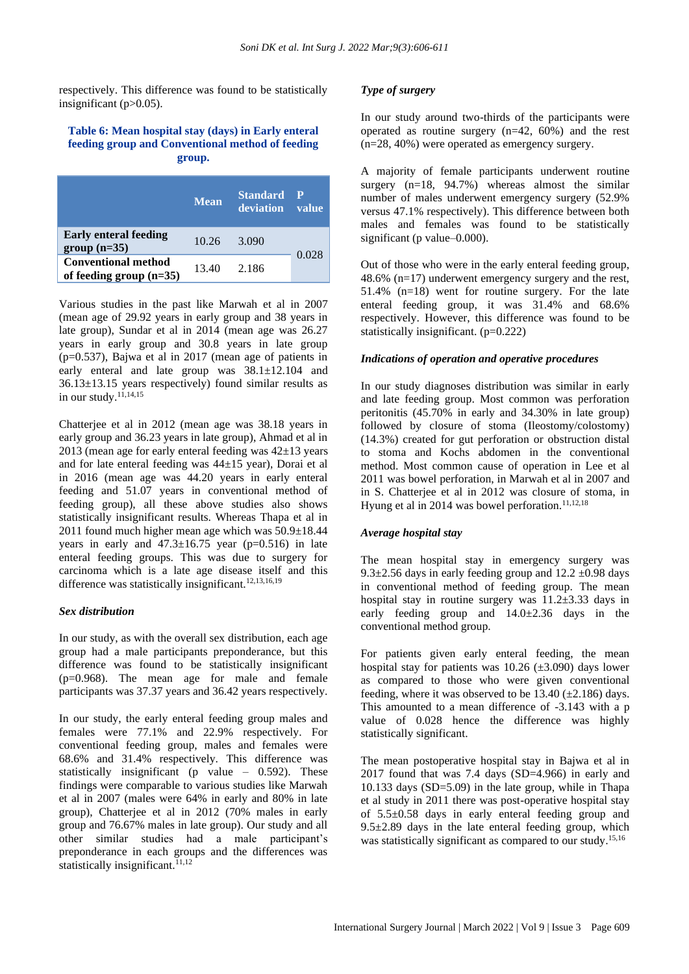respectively. This difference was found to be statistically insignificant (p>0.05).

#### **Table 6: Mean hospital stay (days) in Early enteral feeding group and Conventional method of feeding group.**

|                                                         | <b>Mean</b> | <b>Standard</b><br><b>deviation</b> | ◀⊵<br><b>value</b> |
|---------------------------------------------------------|-------------|-------------------------------------|--------------------|
| <b>Early enteral feeding</b><br>$group(n=35)$           | 10.26       | 3.090                               |                    |
| <b>Conventional method</b><br>of feeding group $(n=35)$ | 13.40       | 2.186                               | 0.028              |

Various studies in the past like Marwah et al in 2007 (mean age of 29.92 years in early group and 38 years in late group), Sundar et al in 2014 (mean age was 26.27 years in early group and 30.8 years in late group (p=0.537), Bajwa et al in 2017 (mean age of patients in early enteral and late group was 38.1±12.104 and 36.13±13.15 years respectively) found similar results as in our study. $^{11,14,15}$ 

Chatterjee et al in 2012 (mean age was 38.18 years in early group and 36.23 years in late group), Ahmad et al in 2013 (mean age for early enteral feeding was  $42\pm13$  years and for late enteral feeding was 44±15 year), Dorai et al in 2016 (mean age was 44.20 years in early enteral feeding and 51.07 years in conventional method of feeding group), all these above studies also shows statistically insignificant results. Whereas Thapa et al in 2011 found much higher mean age which was 50.9±18.44 years in early and  $47.3 \pm 16.75$  year (p=0.516) in late enteral feeding groups. This was due to surgery for carcinoma which is a late age disease itself and this difference was statistically insignificant.<sup>12,13,16,19</sup>

## *Sex distribution*

In our study, as with the overall sex distribution, each age group had a male participants preponderance, but this difference was found to be statistically insignificant (p=0.968). The mean age for male and female participants was 37.37 years and 36.42 years respectively.

In our study, the early enteral feeding group males and females were 77.1% and 22.9% respectively. For conventional feeding group, males and females were 68.6% and 31.4% respectively. This difference was statistically insignificant (p value  $-$  0.592). These findings were comparable to various studies like Marwah et al in 2007 (males were 64% in early and 80% in late group), Chatterjee et al in 2012 (70% males in early group and 76.67% males in late group). Our study and all other similar studies had a male participant's preponderance in each groups and the differences was statistically insignificant. $11,12$ 

#### *Type of surgery*

In our study around two-thirds of the participants were operated as routine surgery (n=42, 60%) and the rest (n=28, 40%) were operated as emergency surgery.

A majority of female participants underwent routine surgery  $(n=18, 94.7%)$  whereas almost the similar number of males underwent emergency surgery (52.9% versus 47.1% respectively). This difference between both males and females was found to be statistically significant (p value–0.000).

Out of those who were in the early enteral feeding group, 48.6% (n=17) underwent emergency surgery and the rest, 51.4% (n=18) went for routine surgery. For the late enteral feeding group, it was 31.4% and 68.6% respectively. However, this difference was found to be statistically insignificant. (p=0.222)

#### *Indications of operation and operative procedures*

In our study diagnoses distribution was similar in early and late feeding group. Most common was perforation peritonitis (45.70% in early and 34.30% in late group) followed by closure of stoma (Ileostomy/colostomy) (14.3%) created for gut perforation or obstruction distal to stoma and Kochs abdomen in the conventional method. Most common cause of operation in Lee et al 2011 was bowel perforation, in Marwah et al in 2007 and in S. Chatterjee et al in 2012 was closure of stoma, in Hyung et al in 2014 was bowel perforation.<sup>11,12,18</sup>

#### *Average hospital stay*

The mean hospital stay in emergency surgery was 9.3 $\pm$ 2.56 days in early feeding group and 12.2  $\pm$ 0.98 days in conventional method of feeding group. The mean hospital stay in routine surgery was 11.2±3.33 days in early feeding group and 14.0±2.36 days in the conventional method group.

For patients given early enteral feeding, the mean hospital stay for patients was  $10.26$  ( $\pm 3.090$ ) days lower as compared to those who were given conventional feeding, where it was observed to be  $13.40$  ( $\pm$ 2.186) days. This amounted to a mean difference of -3.143 with a p value of 0.028 hence the difference was highly statistically significant.

The mean postoperative hospital stay in Bajwa et al in 2017 found that was 7.4 days (SD=4.966) in early and 10.133 days (SD=5.09) in the late group, while in Thapa et al study in 2011 there was post-operative hospital stay of 5.5±0.58 days in early enteral feeding group and  $9.5\pm2.89$  days in the late enteral feeding group, which was statistically significant as compared to our study.<sup>15,16</sup>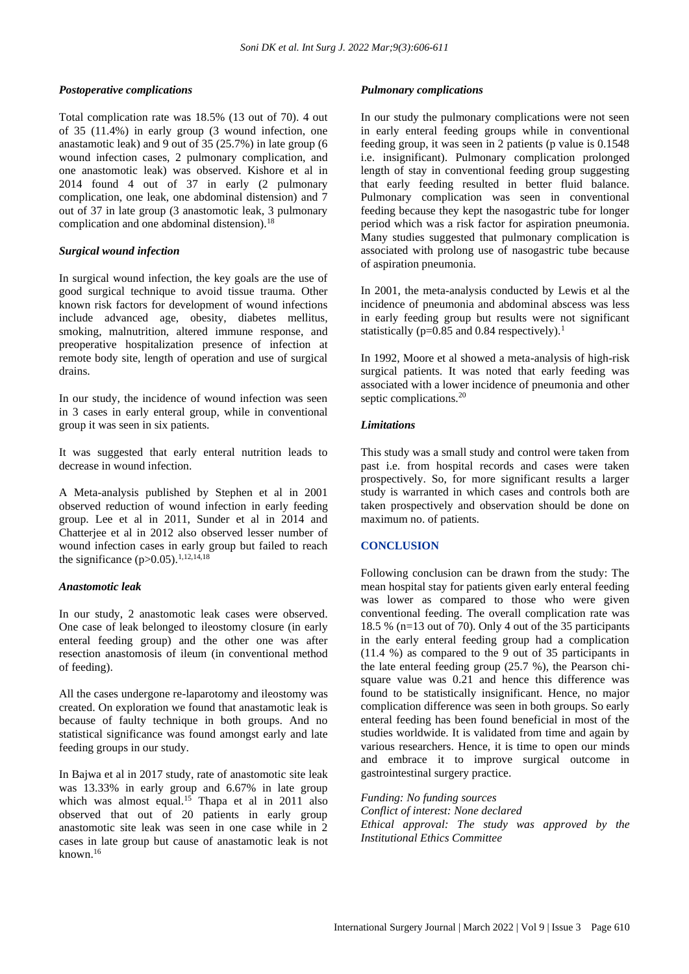#### *Postoperative complications*

Total complication rate was 18.5% (13 out of 70). 4 out of 35 (11.4%) in early group (3 wound infection, one anastamotic leak) and 9 out of 35 (25.7%) in late group (6 wound infection cases, 2 pulmonary complication, and one anastomotic leak) was observed. Kishore et al in 2014 found 4 out of 37 in early (2 pulmonary complication, one leak, one abdominal distension) and 7 out of 37 in late group (3 anastomotic leak, 3 pulmonary complication and one abdominal distension).<sup>18</sup>

#### *Surgical wound infection*

In surgical wound infection, the key goals are the use of good surgical technique to avoid tissue trauma. Other known risk factors for development of wound infections include advanced age, obesity, diabetes mellitus, smoking, malnutrition, altered immune response, and preoperative hospitalization presence of infection at remote body site, length of operation and use of surgical drains.

In our study, the incidence of wound infection was seen in 3 cases in early enteral group, while in conventional group it was seen in six patients.

It was suggested that early enteral nutrition leads to decrease in wound infection.

A Meta-analysis published by Stephen et al in 2001 observed reduction of wound infection in early feeding group. Lee et al in 2011, Sunder et al in 2014 and Chatterjee et al in 2012 also observed lesser number of wound infection cases in early group but failed to reach the significance  $(p>0.05)$ .<sup>1,12,14,18</sup>

#### *Anastomotic leak*

In our study, 2 anastomotic leak cases were observed. One case of leak belonged to ileostomy closure (in early enteral feeding group) and the other one was after resection anastomosis of ileum (in conventional method of feeding).

All the cases undergone re-laparotomy and ileostomy was created. On exploration we found that anastamotic leak is because of faulty technique in both groups. And no statistical significance was found amongst early and late feeding groups in our study.

In Bajwa et al in 2017 study, rate of anastomotic site leak was 13.33% in early group and 6.67% in late group which was almost equal.<sup>15</sup> Thapa et al in 2011 also observed that out of 20 patients in early group anastomotic site leak was seen in one case while in 2 cases in late group but cause of anastamotic leak is not known.<sup>16</sup>

#### *Pulmonary complications*

In our study the pulmonary complications were not seen in early enteral feeding groups while in conventional feeding group, it was seen in 2 patients (p value is 0.1548 i.e. insignificant). Pulmonary complication prolonged length of stay in conventional feeding group suggesting that early feeding resulted in better fluid balance. Pulmonary complication was seen in conventional feeding because they kept the nasogastric tube for longer period which was a risk factor for aspiration pneumonia. Many studies suggested that pulmonary complication is associated with prolong use of nasogastric tube because of aspiration pneumonia.

In 2001, the meta-analysis conducted by Lewis et al the incidence of pneumonia and abdominal abscess was less in early feeding group but results were not significant statistically ( $p=0.85$  and 0.84 respectively).<sup>1</sup>

In 1992, Moore et al showed a meta-analysis of high-risk surgical patients. It was noted that early feeding was associated with a lower incidence of pneumonia and other septic complications.<sup>20</sup>

#### *Limitations*

This study was a small study and control were taken from past i.e. from hospital records and cases were taken prospectively. So, for more significant results a larger study is warranted in which cases and controls both are taken prospectively and observation should be done on maximum no. of patients.

## **CONCLUSION**

Following conclusion can be drawn from the study: The mean hospital stay for patients given early enteral feeding was lower as compared to those who were given conventional feeding. The overall complication rate was 18.5 % (n=13 out of 70). Only 4 out of the 35 participants in the early enteral feeding group had a complication (11.4 %) as compared to the 9 out of 35 participants in the late enteral feeding group (25.7 %), the Pearson chisquare value was 0.21 and hence this difference was found to be statistically insignificant. Hence, no major complication difference was seen in both groups. So early enteral feeding has been found beneficial in most of the studies worldwide. It is validated from time and again by various researchers. Hence, it is time to open our minds and embrace it to improve surgical outcome in gastrointestinal surgery practice.

*Funding: No funding sources Conflict of interest: None declared Ethical approval: The study was approved by the Institutional Ethics Committee*